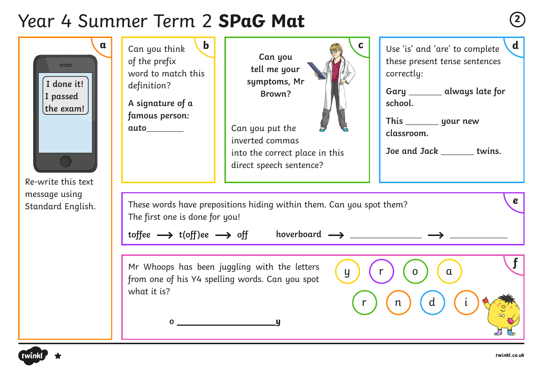# Year 4 Summer Term 2 **SPaG Mat <sup>2</sup>**

| $\mathbf{a}$<br>$\overline{\phantom{0}}$<br>I done it!<br>I passed<br>the exam!<br>Re-write this text | $\mathbf b$<br>Can you think<br>of the prefix<br>word to match this<br>definition?<br>A signature of a<br>famous person:<br>auto________                                                                                                          | C.<br>Can you<br>tell me your<br>symptoms, Mr<br>Brown?<br>Can you put the<br>inverted commas<br>into the correct place in this<br>direct speech sentence? | $\mathbf d$<br>Use 'is' and 'are' to complete<br>these present tense sentences<br>correctly:<br>Gary ______ always late for<br>school.<br>classroom.<br>Joe and Jack ______ twins. |  |  |
|-------------------------------------------------------------------------------------------------------|---------------------------------------------------------------------------------------------------------------------------------------------------------------------------------------------------------------------------------------------------|------------------------------------------------------------------------------------------------------------------------------------------------------------|------------------------------------------------------------------------------------------------------------------------------------------------------------------------------------|--|--|
| message using<br>Standard English.                                                                    | $\boldsymbol{e}$<br>These words have prepositions hiding within them. Can you spot them?<br>The first one is done for you!<br>toffee $\longrightarrow$ t(off)ee $\longrightarrow$ off hoverboard $\longrightarrow$ ____________ $\longrightarrow$ |                                                                                                                                                            |                                                                                                                                                                                    |  |  |
|                                                                                                       | from one of his Y4 spelling words. Can you spot<br>what it is?<br>$\overline{0}$                                                                                                                                                                  | Mr Whoops has been juggling with the letters<br>$\mathsf{y}$                                                                                               | $\alpha$<br>$\mathsf{n}$                                                                                                                                                           |  |  |

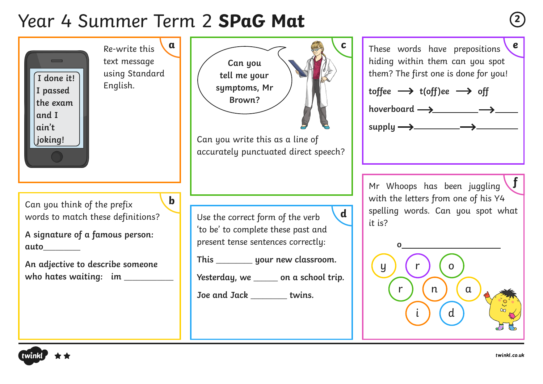# Year 4 Summer Term 2 **SPaG Mat <sup>2</sup>**

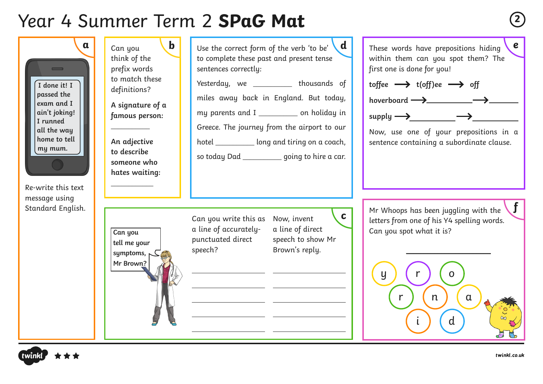# Year 4 Summer Term 2 **SPaG Mat <sup>2</sup>**

| $\mathbf a$<br>$\equiv$<br>I done it! I<br>passed the<br>exam and I<br>ain't joking!<br>I runned<br>all the way<br>home to tell<br>my mum.<br>Re-write this text<br>message using<br>Standard English. | $\mathbf b$<br>Can you<br>think of the<br>prefix words<br>to match these<br>definitions?<br>A signature of a<br>famous person:<br>An adjective<br>to describe<br>someone who<br>hates waiting: | d<br>Use the correct form of the verb 'to be'<br>to complete these past and present tense<br>sentences correctly:<br>Yesterday, we __________ thousands of<br>miles away back in England. But today,<br>my parents and I ____________ on holiday in<br>Greece. The journey from the airport to our<br>hotel ____________ long and tiring on a coach,<br>so today Dad ___________ going to hire a car. | $\boldsymbol{e}$<br>These words have prepositions hiding<br>within them can you spot them? The<br>first one is done for you!<br>toffee $\longrightarrow$ t(off)ee $\longrightarrow$ off<br>hoverboard $\longrightarrow$ $\longrightarrow$<br>$supply \longrightarrow$<br>Now, use one of your prepositions in a<br>sentence containing a subordinate clause. |
|--------------------------------------------------------------------------------------------------------------------------------------------------------------------------------------------------------|------------------------------------------------------------------------------------------------------------------------------------------------------------------------------------------------|-------------------------------------------------------------------------------------------------------------------------------------------------------------------------------------------------------------------------------------------------------------------------------------------------------------------------------------------------------------------------------------------------------|--------------------------------------------------------------------------------------------------------------------------------------------------------------------------------------------------------------------------------------------------------------------------------------------------------------------------------------------------------------|
|                                                                                                                                                                                                        | Can you<br>tell me your<br>symptoms,<br>Mr Brown?                                                                                                                                              | $\mathbf{C}$<br>Can you write this as<br>Now, invent<br>a line of accurately-<br>a line of direct<br>punctuated direct<br>speech to show Mr<br>Brown's reply.<br>speech?                                                                                                                                                                                                                              | Mr Whoops has been juggling with the<br>letters from one of his Y4 spelling words.<br>Can you spot what it is?<br>y<br>$\mathsf{n}$<br>$\alpha$<br>$\mathsf{d}$                                                                                                                                                                                              |

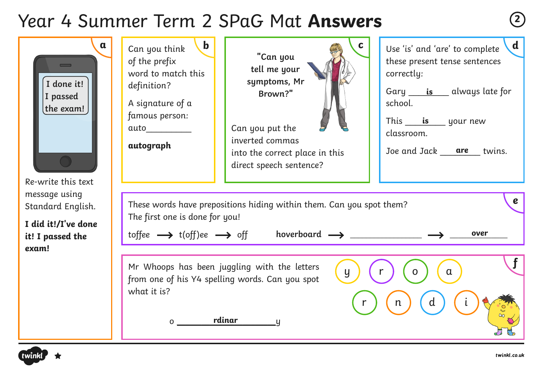## Year 4 Summer Term 2 SPaG Mat **Answers <sup>2</sup>**

| α<br>$\overline{\phantom{0}}$<br>I done it!<br>I passed<br>the exam!<br>Re-write this text<br>message using<br>Standard English.<br>I did it!/I've done<br>it! I passed the<br>exam! | $\mathbf b$<br>Can you think<br>of the prefix<br>word to match this<br>definition?<br>A signature of a<br>famous person:<br>auto<br>autograph                                                                                                              | "Can you<br>tell me your<br>symptoms, Mr<br>Brown?"<br>Can you put the<br>inverted commas<br>into the correct place in this<br>direct speech sentence? | $\mathbf d$<br>Use 'is' and 'are' to complete<br>these present tense sentences<br>correctly:<br>Gary <u>is</u> always late for<br>school.<br>This is your new<br>classroom.<br>Joe and Jack are<br>twins. |
|--------------------------------------------------------------------------------------------------------------------------------------------------------------------------------------|------------------------------------------------------------------------------------------------------------------------------------------------------------------------------------------------------------------------------------------------------------|--------------------------------------------------------------------------------------------------------------------------------------------------------|-----------------------------------------------------------------------------------------------------------------------------------------------------------------------------------------------------------|
|                                                                                                                                                                                      | $\boldsymbol{e}$<br>These words have prepositions hiding within them. Can you spot them?<br>The first one is done for you!<br>toffee $\longrightarrow$ t(off)ee $\longrightarrow$ off hoverboard $\longrightarrow$ _____________ $\longrightarrow$<br>over |                                                                                                                                                        |                                                                                                                                                                                                           |
|                                                                                                                                                                                      | what it is?<br>0                                                                                                                                                                                                                                           | Mr Whoops has been juggling with the letters<br>$\overline{y}$<br>from one of his Y4 spelling words. Can you spot<br>rdinar                            | $\alpha$<br>Ω                                                                                                                                                                                             |

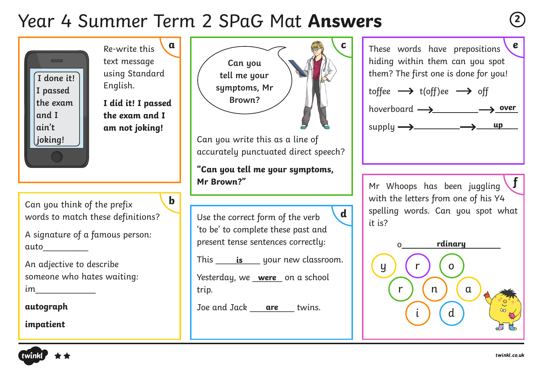## Year 4 Summer Term 2 SPaG Mat **Answers <sup>2</sup>**





**f**